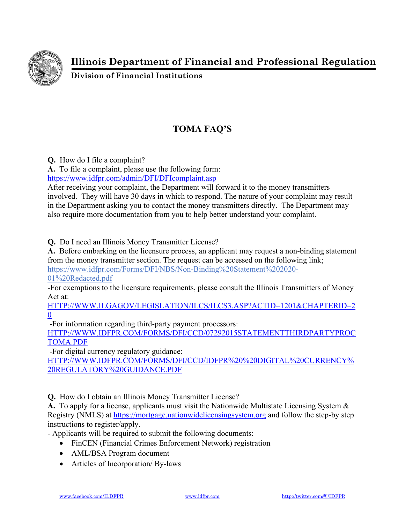

**Illinois Department of Financial and Professional Regulation** 

**Division of Financial Institutions** 

## **TOMA FAQ'S**

**Q.** How do I file a complaint?

**A.** To file a complaint, please use the following form:

https://www.idfpr.com/admin/DFI/DFIcomplaint.asp

After receiving your complaint, the Department will forward it to the money transmitters involved. They will have 30 days in which to respond. The nature of your complaint may result in the Department asking you to contact the money transmitters directly. The Department may also require more documentation from you to help better understand your complaint.

**Q.** Do I need an Illinois Money Transmitter License?

**A.** Before embarking on the licensure process, an applicant may request a non-binding statement from the money transmitter section. The request can be accessed on the following link; https://www.idfpr.com/Forms/DFI/NBS/Non-Binding%20Statement%202020-

01%20Redacted.pdf

-For exemptions to the licensure requirements, please consult the Illinois Transmitters of Money Act at:

HTTP://WWW.ILGAGOV/LEGISLATION/ILCS/ILCS3.ASP?ACTID=1201&CHAPTERID=2 0

-For information regarding third-party payment processors:

HTTP://WWW.IDFPR.COM/FORMS/DFI/CCD/07292015STATEMENTTHIRDPARTYPROC TOMA.PDF

-For digital currency regulatory guidance:

HTTP://WWW.IDFPR.COM/FORMS/DFI/CCD/IDFPR%20%20DIGITAL%20CURRENCY% 20REGULATORY%20GUIDANCE.PDF

**Q.** How do I obtain an Illinois Money Transmitter License?

**A.** To apply for a license, applicants must visit the Nationwide Multistate Licensing System & Registry (NMLS) at https://mortgage.nationwidelicensingsystem.org and follow the step-by step instructions to register/apply.

- Applicants will be required to submit the following documents:

- FinCEN (Financial Crimes Enforcement Network) registration
- AML/BSA Program document
- Articles of Incorporation/ By-laws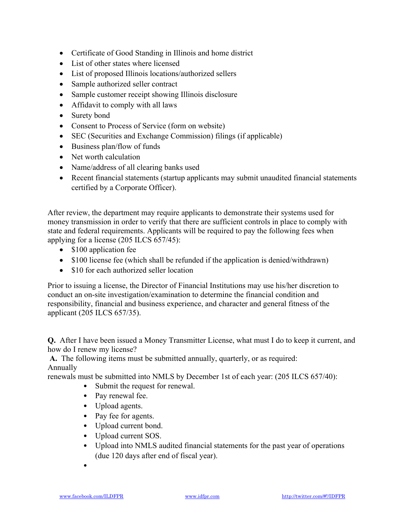- Certificate of Good Standing in Illinois and home district
- List of other states where licensed
- List of proposed Illinois locations/authorized sellers
- Sample authorized seller contract
- Sample customer receipt showing Illinois disclosure
- Affidavit to comply with all laws
- Surety bond
- Consent to Process of Service (form on website)
- SEC (Securities and Exchange Commission) filings (if applicable)
- $\bullet$  Business plan/flow of funds
- Net worth calculation
- Name/address of all clearing banks used
- Recent financial statements (startup applicants may submit unaudited financial statements certified by a Corporate Officer).

After review, the department may require applicants to demonstrate their systems used for money transmission in order to verify that there are sufficient controls in place to comply with state and federal requirements. Applicants will be required to pay the following fees when applying for a license (205 ILCS 657/45):

- \$100 application fee
- \$100 license fee (which shall be refunded if the application is denied/withdrawn)
- \$10 for each authorized seller location

Prior to issuing a license, the Director of Financial Institutions may use his/her discretion to conduct an on-site investigation/examination to determine the financial condition and responsibility, financial and business experience, and character and general fitness of the applicant (205 ILCS 657/35).

**Q.** After I have been issued a Money Transmitter License, what must I do to keep it current, and how do I renew my license?

**A.** The following items must be submitted annually, quarterly, or as required: Annually

renewals must be submitted into NMLS by December 1st of each year: (205 ILCS 657/40):

- Submit the request for renewal.
- Pay renewal fee.
- Upload agents.
- Pay fee for agents.
- Upload current bond.
- Upload current SOS.
- Upload into NMLS audited financial statements for the past year of operations (due 120 days after end of fiscal year).
- •